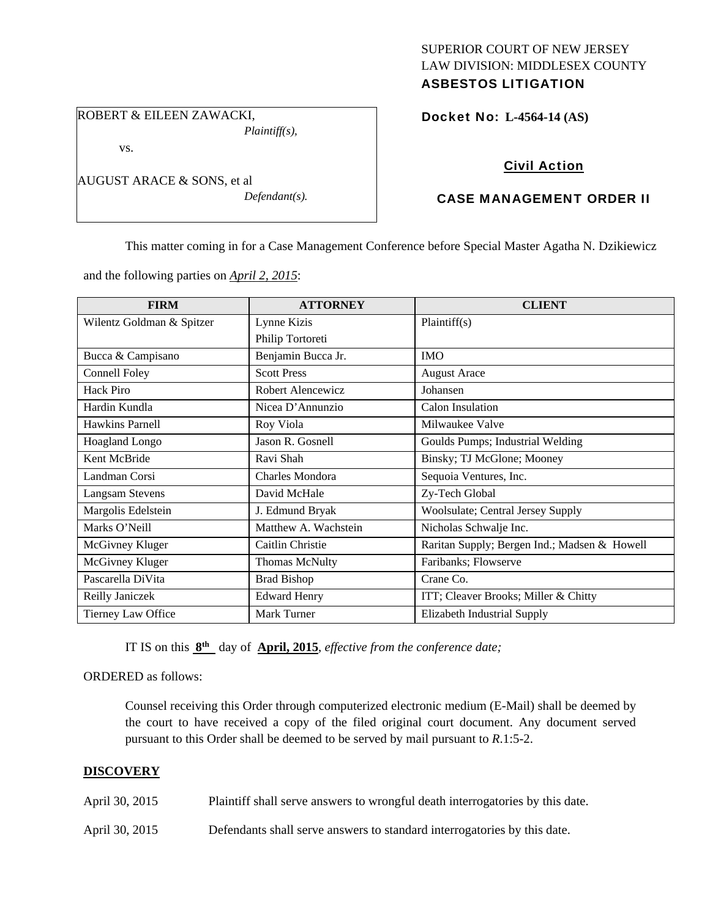# SUPERIOR COURT OF NEW JERSEY LAW DIVISION: MIDDLESEX COUNTY ASBESTOS LITIGATION

ROBERT & EILEEN ZAWACKI, *Plaintiff(s),* 

vs.

AUGUST ARACE & SONS, et al

*Defendant(s).* 

Docket No: **L-4564-14 (AS)** 

# Civil Action

# CASE MANAGEMENT ORDER II

This matter coming in for a Case Management Conference before Special Master Agatha N. Dzikiewicz

and the following parties on *April 2, 2015*:

| <b>FIRM</b>               | <b>ATTORNEY</b>       | <b>CLIENT</b>                                |
|---------------------------|-----------------------|----------------------------------------------|
| Wilentz Goldman & Spitzer | Lynne Kizis           | Plaintiff(s)                                 |
|                           | Philip Tortoreti      |                                              |
| Bucca & Campisano         | Benjamin Bucca Jr.    | <b>IMO</b>                                   |
| Connell Foley             | <b>Scott Press</b>    | <b>August Arace</b>                          |
| Hack Piro                 | Robert Alencewicz     | Johansen                                     |
| Hardin Kundla             | Nicea D'Annunzio      | Calon Insulation                             |
| <b>Hawkins Parnell</b>    | Roy Viola             | Milwaukee Valve                              |
| Hoagland Longo            | Jason R. Gosnell      | Goulds Pumps; Industrial Welding             |
| Kent McBride              | Ravi Shah             | Binsky; TJ McGlone; Mooney                   |
| Landman Corsi             | Charles Mondora       | Sequoia Ventures, Inc.                       |
| <b>Langsam Stevens</b>    | David McHale          | Zy-Tech Global                               |
| Margolis Edelstein        | J. Edmund Bryak       | Woolsulate; Central Jersey Supply            |
| Marks O'Neill             | Matthew A. Wachstein  | Nicholas Schwalje Inc.                       |
| McGivney Kluger           | Caitlin Christie      | Raritan Supply; Bergen Ind.; Madsen & Howell |
| McGivney Kluger           | <b>Thomas McNulty</b> | Faribanks; Flowserve                         |
| Pascarella DiVita         | <b>Brad Bishop</b>    | Crane Co.                                    |
| Reilly Janiczek           | <b>Edward Henry</b>   | ITT; Cleaver Brooks; Miller & Chitty         |
| Tierney Law Office        | Mark Turner           | Elizabeth Industrial Supply                  |

IT IS on this **8th** day of **April, 2015**, *effective from the conference date;*

ORDERED as follows:

Counsel receiving this Order through computerized electronic medium (E-Mail) shall be deemed by the court to have received a copy of the filed original court document. Any document served pursuant to this Order shall be deemed to be served by mail pursuant to *R*.1:5-2.

# **DISCOVERY**

| April 30, 2015 | Plaintiff shall serve answers to wrongful death interrogatories by this date. |
|----------------|-------------------------------------------------------------------------------|
| April 30, 2015 | Defendants shall serve answers to standard interrogatories by this date.      |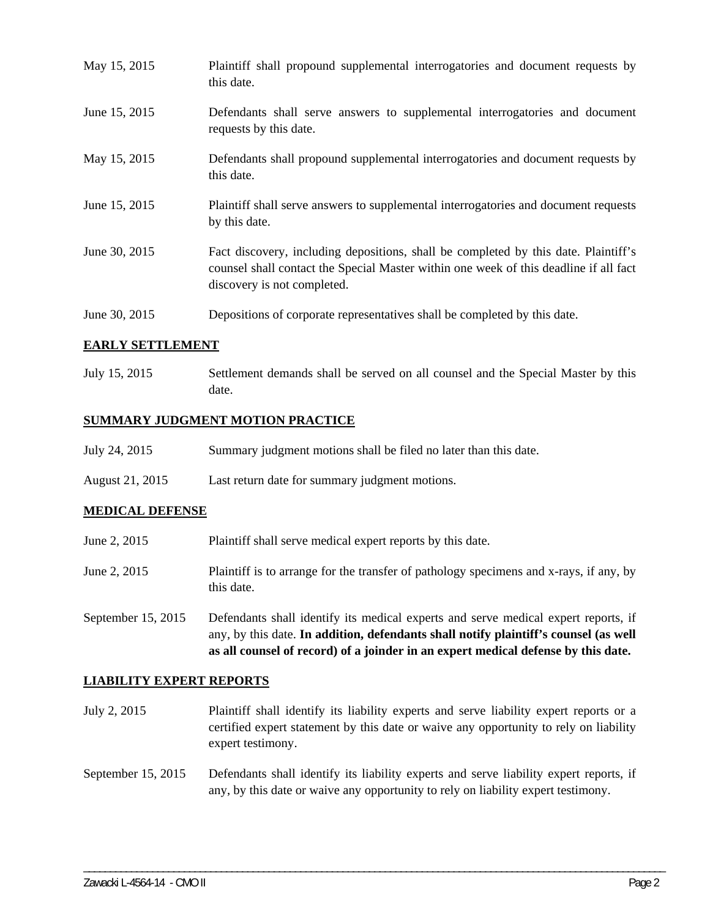| May 15, 2015  | Plaintiff shall propound supplemental interrogatories and document requests by<br>this date.                                                                                                                |
|---------------|-------------------------------------------------------------------------------------------------------------------------------------------------------------------------------------------------------------|
| June 15, 2015 | Defendants shall serve answers to supplemental interrogatories and document<br>requests by this date.                                                                                                       |
| May 15, 2015  | Defendants shall propound supplemental interrogatories and document requests by<br>this date.                                                                                                               |
| June 15, 2015 | Plaintiff shall serve answers to supplemental interrogatories and document requests<br>by this date.                                                                                                        |
| June 30, 2015 | Fact discovery, including depositions, shall be completed by this date. Plaintiff's<br>counsel shall contact the Special Master within one week of this deadline if all fact<br>discovery is not completed. |
| June 30, 2015 | Depositions of corporate representatives shall be completed by this date.                                                                                                                                   |

# **EARLY SETTLEMENT**

July 15, 2015 Settlement demands shall be served on all counsel and the Special Master by this date.

# **SUMMARY JUDGMENT MOTION PRACTICE**

- July 24, 2015 Summary judgment motions shall be filed no later than this date.
- August 21, 2015 Last return date for summary judgment motions.

### **MEDICAL DEFENSE**

- June 2, 2015 Plaintiff shall serve medical expert reports by this date.
- June 2, 2015 Plaintiff is to arrange for the transfer of pathology specimens and x-rays, if any, by this date.

September 15, 2015 Defendants shall identify its medical experts and serve medical expert reports, if any, by this date. **In addition, defendants shall notify plaintiff's counsel (as well as all counsel of record) of a joinder in an expert medical defense by this date.** 

### **LIABILITY EXPERT REPORTS**

- July 2, 2015 Plaintiff shall identify its liability experts and serve liability expert reports or a certified expert statement by this date or waive any opportunity to rely on liability expert testimony.
- September 15, 2015 Defendants shall identify its liability experts and serve liability expert reports, if any, by this date or waive any opportunity to rely on liability expert testimony.

\_\_\_\_\_\_\_\_\_\_\_\_\_\_\_\_\_\_\_\_\_\_\_\_\_\_\_\_\_\_\_\_\_\_\_\_\_\_\_\_\_\_\_\_\_\_\_\_\_\_\_\_\_\_\_\_\_\_\_\_\_\_\_\_\_\_\_\_\_\_\_\_\_\_\_\_\_\_\_\_\_\_\_\_\_\_\_\_\_\_\_\_\_\_\_\_\_\_\_\_\_\_\_\_\_\_\_\_\_\_